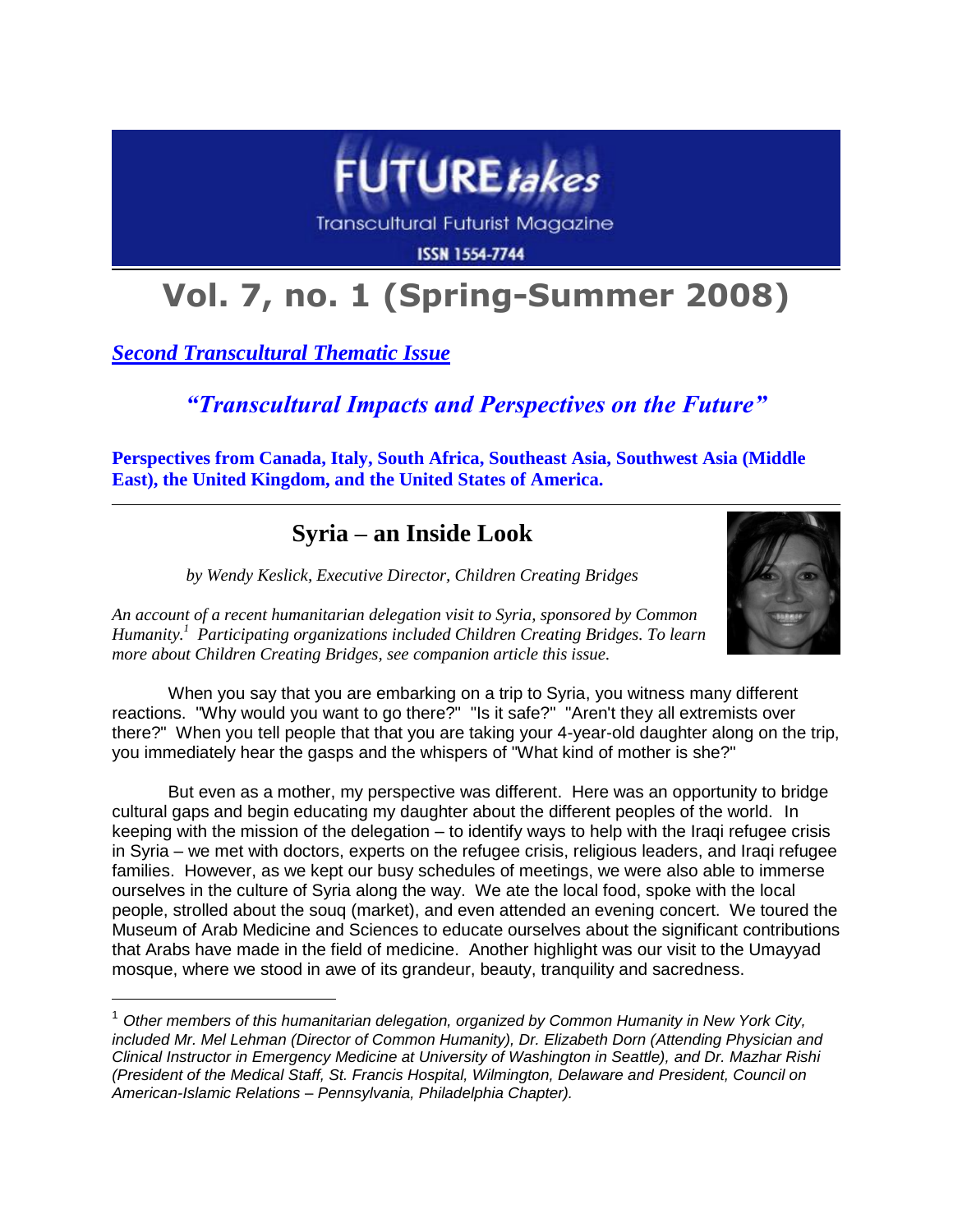

**Transcultural Futurist Magazine** 

**ISSN 1554-7744** 

# **Vol. 7, no. 1 (Spring-Summer 2008)**

*Second Transcultural Thematic Issue*

 $\overline{a}$ 

*"Transcultural Impacts and Perspectives on the Future"*

**Perspectives from Canada, Italy, South Africa, Southeast Asia, Southwest Asia (Middle East), the United Kingdom, and the United States of America.**

## **Syria – an Inside Look**

*by Wendy Keslick, Executive Director, Children Creating Bridges*



*An account of a recent humanitarian delegation visit to Syria, sponsored by Common Humanity.<sup>1</sup> Participating organizations included Children Creating Bridges. To learn more about Children Creating Bridges, see companion article this issue.*

When you say that you are embarking on a trip to Syria, you witness many different reactions. "Why would you want to go there?" "Is it safe?" "Aren't they all extremists over there?" When you tell people that that you are taking your 4-year-old daughter along on the trip, you immediately hear the gasps and the whispers of "What kind of mother is she?"

But even as a mother, my perspective was different. Here was an opportunity to bridge cultural gaps and begin educating my daughter about the different peoples of the world. In keeping with the mission of the delegation – to identify ways to help with the Iraqi refugee crisis in Syria – we met with doctors, experts on the refugee crisis, religious leaders, and Iraqi refugee families. However, as we kept our busy schedules of meetings, we were also able to immerse ourselves in the culture of Syria along the way. We ate the local food, spoke with the local people, strolled about the souq (market), and even attended an evening concert. We toured the Museum of Arab Medicine and Sciences to educate ourselves about the significant contributions that Arabs have made in the field of medicine. Another highlight was our visit to the Umayyad mosque, where we stood in awe of its grandeur, beauty, tranquility and sacredness.

<sup>&</sup>lt;sup>1</sup> Other members of this humanitarian delegation, organized by Common Humanity in New York City, *included Mr. Mel Lehman (Director of Common Humanity), Dr. Elizabeth Dorn (Attending Physician and Clinical Instructor in Emergency Medicine at University of Washington in Seattle), and Dr. Mazhar Rishi (President of the Medical Staff, St. Francis Hospital, Wilmington, Delaware and President, Council on American-Islamic Relations – Pennsylvania, Philadelphia Chapter).*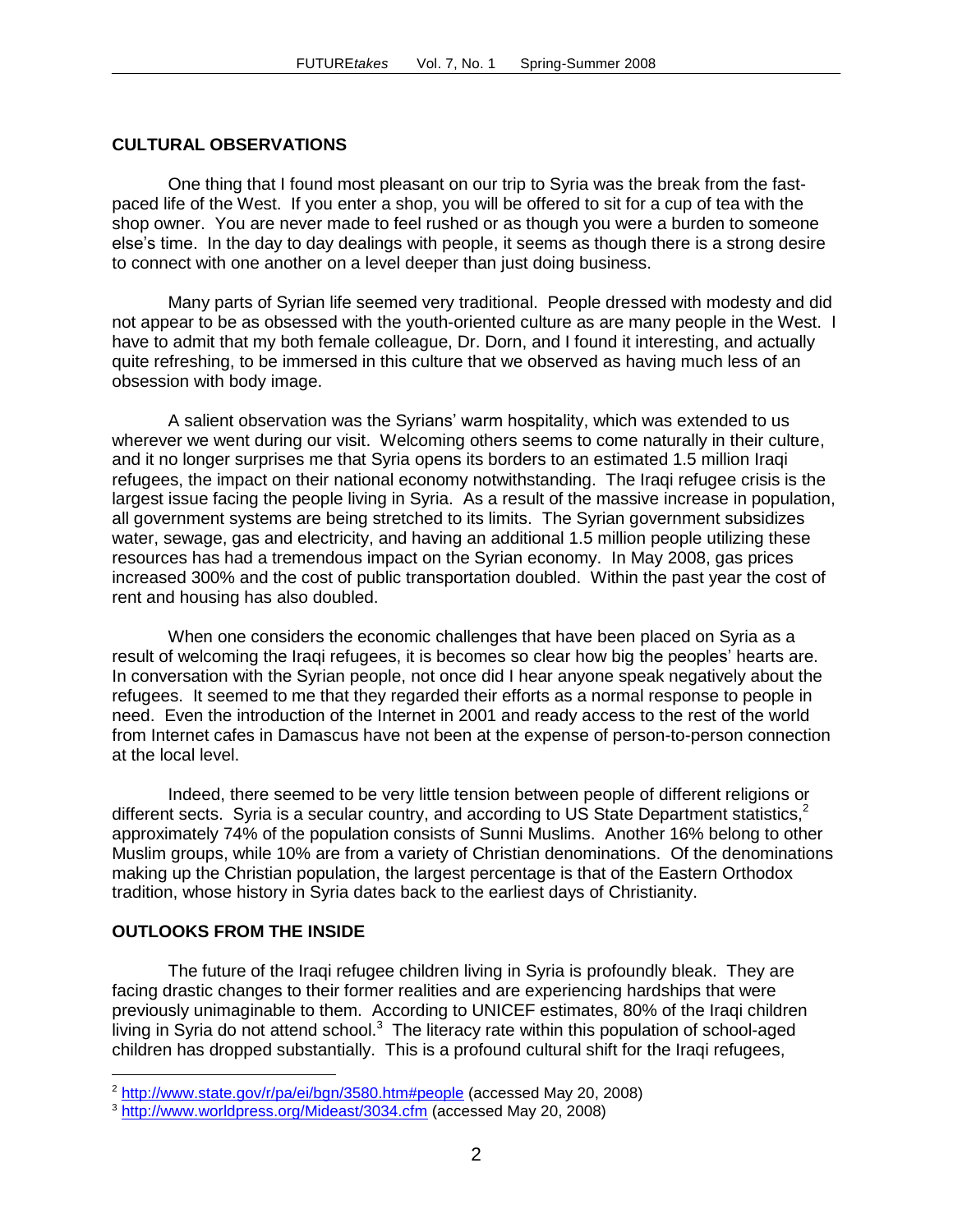### **CULTURAL OBSERVATIONS**

One thing that I found most pleasant on our trip to Syria was the break from the fastpaced life of the West. If you enter a shop, you will be offered to sit for a cup of tea with the shop owner. You are never made to feel rushed or as though you were a burden to someone else's time. In the day to day dealings with people, it seems as though there is a strong desire to connect with one another on a level deeper than just doing business.

Many parts of Syrian life seemed very traditional. People dressed with modesty and did not appear to be as obsessed with the youth-oriented culture as are many people in the West. I have to admit that my both female colleague, Dr. Dorn, and I found it interesting, and actually quite refreshing, to be immersed in this culture that we observed as having much less of an obsession with body image.

A salient observation was the Syrians' warm hospitality, which was extended to us wherever we went during our visit. Welcoming others seems to come naturally in their culture, and it no longer surprises me that Syria opens its borders to an estimated 1.5 million Iraqi refugees, the impact on their national economy notwithstanding. The Iraqi refugee crisis is the largest issue facing the people living in Syria. As a result of the massive increase in population, all government systems are being stretched to its limits. The Syrian government subsidizes water, sewage, gas and electricity, and having an additional 1.5 million people utilizing these resources has had a tremendous impact on the Syrian economy. In May 2008, gas prices increased 300% and the cost of public transportation doubled. Within the past year the cost of rent and housing has also doubled.

When one considers the economic challenges that have been placed on Syria as a result of welcoming the Iraqi refugees, it is becomes so clear how big the peoples' hearts are. In conversation with the Syrian people, not once did I hear anyone speak negatively about the refugees. It seemed to me that they regarded their efforts as a normal response to people in need. Even the introduction of the Internet in 2001 and ready access to the rest of the world from Internet cafes in Damascus have not been at the expense of person-to-person connection at the local level.

Indeed, there seemed to be very little tension between people of different religions or different sects. Syria is a secular country, and according to US State Department statistics,<sup>2</sup> approximately 74% of the population consists of Sunni Muslims. Another 16% belong to other Muslim groups, while 10% are from a variety of Christian denominations. Of the denominations making up the Christian population, the largest percentage is that of the Eastern Orthodox tradition, whose history in Syria dates back to the earliest days of Christianity.

#### **OUTLOOKS FROM THE INSIDE**

 $\overline{a}$ 

The future of the Iraqi refugee children living in Syria is profoundly bleak. They are facing drastic changes to their former realities and are experiencing hardships that were previously unimaginable to them. According to UNICEF estimates, 80% of the Iraqi children living in Syria do not attend school. $3$  The literacy rate within this population of school-aged children has dropped substantially. This is a profound cultural shift for the Iraqi refugees,

<sup>&</sup>lt;sup>2</sup> <http://www.state.gov/r/pa/ei/bgn/3580.htm#people> (accessed May 20, 2008)

<sup>3</sup> <http://www.worldpress.org/Mideast/3034.cfm> (accessed May 20, 2008)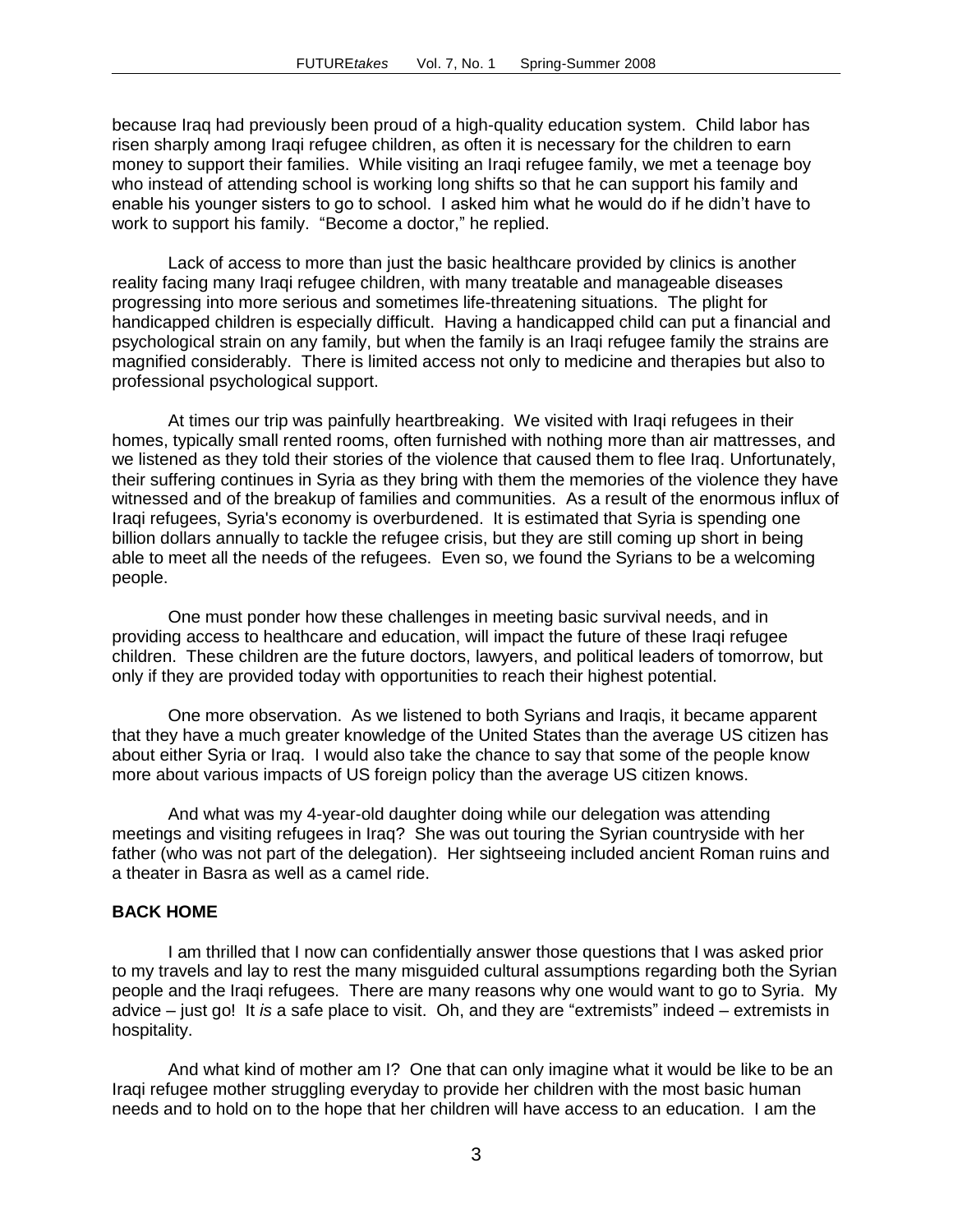because Iraq had previously been proud of a high-quality education system. Child labor has risen sharply among Iraqi refugee children, as often it is necessary for the children to earn money to support their families. While visiting an Iraqi refugee family, we met a teenage boy who instead of attending school is working long shifts so that he can support his family and enable his younger sisters to go to school. I asked him what he would do if he didn't have to work to support his family. "Become a doctor," he replied.

Lack of access to more than just the basic healthcare provided by clinics is another reality facing many Iraqi refugee children, with many treatable and manageable diseases progressing into more serious and sometimes life-threatening situations. The plight for handicapped children is especially difficult. Having a handicapped child can put a financial and psychological strain on any family, but when the family is an Iraqi refugee family the strains are magnified considerably. There is limited access not only to medicine and therapies but also to professional psychological support.

At times our trip was painfully heartbreaking. We visited with Iraqi refugees in their homes, typically small rented rooms, often furnished with nothing more than air mattresses, and we listened as they told their stories of the violence that caused them to flee Iraq. Unfortunately, their suffering continues in Syria as they bring with them the memories of the violence they have witnessed and of the breakup of families and communities. As a result of the enormous influx of Iraqi refugees, Syria's economy is overburdened. It is estimated that Syria is spending one billion dollars annually to tackle the refugee crisis, but they are still coming up short in being able to meet all the needs of the refugees. Even so, we found the Syrians to be a welcoming people.

One must ponder how these challenges in meeting basic survival needs, and in providing access to healthcare and education, will impact the future of these Iraqi refugee children. These children are the future doctors, lawyers, and political leaders of tomorrow, but only if they are provided today with opportunities to reach their highest potential.

One more observation. As we listened to both Syrians and Iraqis, it became apparent that they have a much greater knowledge of the United States than the average US citizen has about either Syria or Iraq. I would also take the chance to say that some of the people know more about various impacts of US foreign policy than the average US citizen knows.

And what was my 4-year-old daughter doing while our delegation was attending meetings and visiting refugees in Iraq? She was out touring the Syrian countryside with her father (who was not part of the delegation). Her sightseeing included ancient Roman ruins and a theater in Basra as well as a camel ride.

#### **BACK HOME**

I am thrilled that I now can confidentially answer those questions that I was asked prior to my travels and lay to rest the many misguided cultural assumptions regarding both the Syrian people and the Iraqi refugees. There are many reasons why one would want to go to Syria. My advice – just go! It *is* a safe place to visit. Oh, and they are "extremists" indeed – extremists in hospitality.

And what kind of mother am I? One that can only imagine what it would be like to be an Iraqi refugee mother struggling everyday to provide her children with the most basic human needs and to hold on to the hope that her children will have access to an education. I am the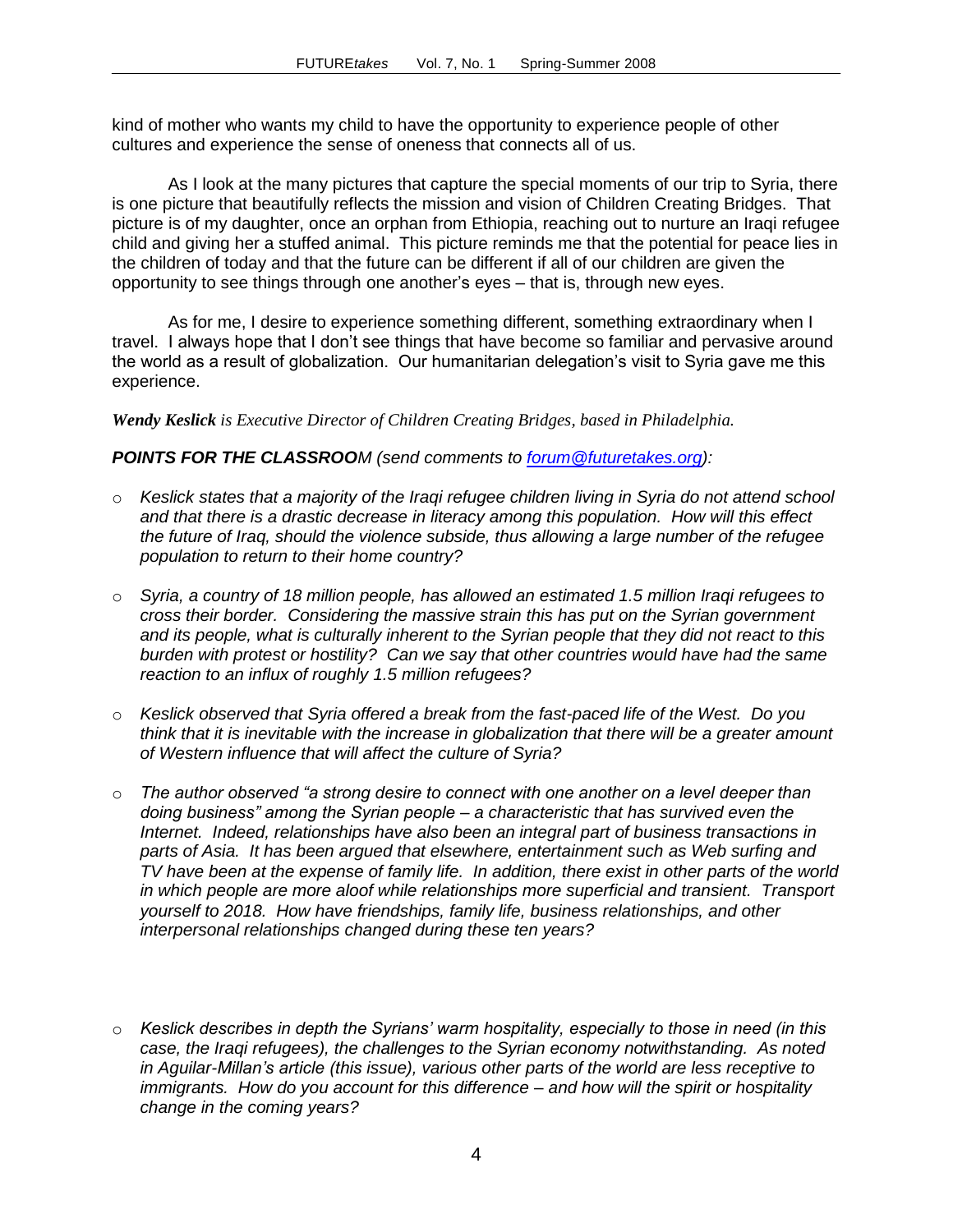kind of mother who wants my child to have the opportunity to experience people of other cultures and experience the sense of oneness that connects all of us.

As I look at the many pictures that capture the special moments of our trip to Syria, there is one picture that beautifully reflects the mission and vision of Children Creating Bridges. That picture is of my daughter, once an orphan from Ethiopia, reaching out to nurture an Iraqi refugee child and giving her a stuffed animal. This picture reminds me that the potential for peace lies in the children of today and that the future can be different if all of our children are given the opportunity to see things through one another's eyes – that is, through new eyes.

As for me, I desire to experience something different, something extraordinary when I travel. I always hope that I don't see things that have become so familiar and pervasive around the world as a result of globalization. Our humanitarian delegation's visit to Syria gave me this experience.

*Wendy Keslick is Executive Director of Children Creating Bridges, based in Philadelphia.*

#### *POINTS FOR THE CLASSROOM (send comments to [forum@futuretakes.org\)](mailto:forum@futuretakes.org):*

- o *Keslick states that a majority of the Iraqi refugee children living in Syria do not attend school and that there is a drastic decrease in literacy among this population. How will this effect the future of Iraq, should the violence subside, thus allowing a large number of the refugee population to return to their home country?*
- o *Syria, a country of 18 million people, has allowed an estimated 1.5 million Iraqi refugees to cross their border. Considering the massive strain this has put on the Syrian government and its people, what is culturally inherent to the Syrian people that they did not react to this burden with protest or hostility? Can we say that other countries would have had the same reaction to an influx of roughly 1.5 million refugees?*
- o *Keslick observed that Syria offered a break from the fast-paced life of the West. Do you think that it is inevitable with the increase in globalization that there will be a greater amount of Western influence that will affect the culture of Syria?*
- o *The author observed "a strong desire to connect with one another on a level deeper than doing business" among the Syrian people – a characteristic that has survived even the Internet. Indeed, relationships have also been an integral part of business transactions in parts of Asia. It has been argued that elsewhere, entertainment such as Web surfing and TV have been at the expense of family life. In addition, there exist in other parts of the world in which people are more aloof while relationships more superficial and transient. Transport yourself to 2018. How have friendships, family life, business relationships, and other interpersonal relationships changed during these ten years?*
- o *Keslick describes in depth the Syrians' warm hospitality, especially to those in need (in this case, the Iraqi refugees), the challenges to the Syrian economy notwithstanding. As noted in Aguilar-Millan's article (this issue), various other parts of the world are less receptive to immigrants. How do you account for this difference – and how will the spirit or hospitality change in the coming years?*